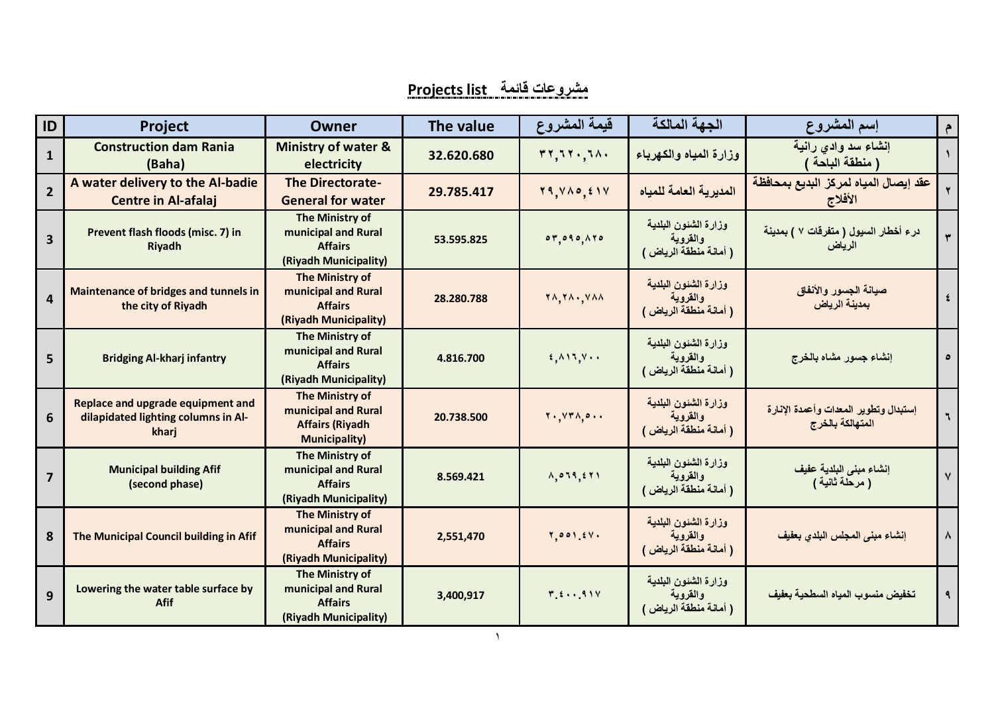## **مشروعات قائمة list Projects**

| ID             | <b>Project</b>                                                                           | <b>Owner</b>                                                                                    | The value  | قيمة المشروع                                                      | الجهة المالكة                                              | إسم المشروع                                               | $\epsilon$              |
|----------------|------------------------------------------------------------------------------------------|-------------------------------------------------------------------------------------------------|------------|-------------------------------------------------------------------|------------------------------------------------------------|-----------------------------------------------------------|-------------------------|
| $\mathbf{1}$   | <b>Construction dam Rania</b><br>(Baha)                                                  | <b>Ministry of water &amp;</b><br>electricity                                                   | 32.620.680 | rr, 51, 51.                                                       | وزارة المياه والكهرباء                                     | إنشاء سد وادي رانية<br>( منطقة الباحة                     |                         |
| $\overline{2}$ | A water delivery to the Al-badie<br><b>Centre in Al-afalaj</b>                           | <b>The Directorate-</b><br><b>General for water</b>                                             | 29.785.417 | $Y$ 9, $Y \wedge \circ$ , $Y$                                     | المديرية العامة للمياه                                     | عقد إيصال المياه لمركز البديع بمحافظة<br>الأفلاج          |                         |
| 3              | Prevent flash floods (misc. 7) in<br>Riyadh                                              | The Ministry of<br>municipal and Rural<br><b>Affairs</b><br>(Riyadh Municipality)               | 53.595.825 | 07,090,070                                                        | وزارة الشئون البلدية<br>والقروية<br>( أمانة منطقة الرياض ) | در ء أخطار السيول ( متفرقات ٧ ) بمدينة<br>الرياض          | $\overline{\mathbf{r}}$ |
| $\overline{4}$ | <b>Maintenance of bridges and tunnels in</b><br>the city of Riyadh                       | The Ministry of<br>municipal and Rural<br><b>Affairs</b><br>(Riyadh Municipality)               | 28.280.788 | $\forall \lambda, \forall \lambda \cdot, \forall \lambda \lambda$ | وزارة الشئون البلدية<br>والقروية<br>( أمانة منطقة الرياض ) | صيانة الجسور والأنفاق<br>بمدينة الرياض                    | $\pmb{\xi}$             |
| 5              | <b>Bridging Al-kharj infantry</b>                                                        | The Ministry of<br>municipal and Rural<br><b>Affairs</b><br>(Riyadh Municipality)               | 4.816.700  | $f, \wedge \wedge \wedge, \vee \wedge$                            | وزارة الشئون البلدية<br>والقروية<br>( أمانة منطقة الرياض ) | إنشاء جسور مشاه بالخرج                                    | $\bullet$               |
| 6              | <b>Replace and upgrade equipment and</b><br>dilapidated lighting columns in Al-<br>kharj | <b>The Ministry of</b><br>municipal and Rural<br><b>Affairs (Riyadh</b><br><b>Municipality)</b> | 20.738.500 | $Y \cdot Y Y \wedge \circ \cdot \cdot$                            | وزارة الشئون البلدية<br>والقروية<br>( أمانة منطقة الرياض ) | إستبدال وتطوير المعدات وأعمدة الإنارة<br>المتهالكة بالخرج | $\mathbf{r}$            |
| $\overline{7}$ | <b>Municipal building Afif</b><br>(second phase)                                         | The Ministry of<br>municipal and Rural<br><b>Affairs</b><br>(Riyadh Municipality)               | 8.569.421  | A, 0, 19, 281                                                     | وزارة الشئون البلدية<br>والقروية<br>( أمانة منطقة الرياض ) | إنشاء مبنى البلدية عفيف<br>( مرحلة ثانية )                | $\mathsf{V}$            |
| 8              | The Municipal Council building in Afif                                                   | The Ministry of<br>municipal and Rural<br><b>Affairs</b><br>(Riyadh Municipality)               | 2,551,470  | Y, 001, 2V                                                        | وزارة الشئون البلدية<br>والقروية<br>( أمانة منطقة الرياض ) | إنشاء مبنى المجلس البلدي بعفيف                            | $\boldsymbol{\lambda}$  |
| 9              | Lowering the water table surface by<br><b>Afif</b>                                       | The Ministry of<br>municipal and Rural<br><b>Affairs</b><br>(Riyadh Municipality)               | 3,400,917  | $Y f \cdots 91V$                                                  | وزارة الشئون البلدية<br>والقروية<br>( أمانة منطقة الرياض ) | تخفيض منسوب المياه السطحية بعفيف                          | ٩                       |